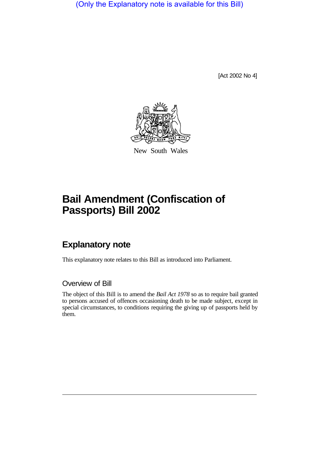(Only the Explanatory note is available for this Bill)

[Act 2002 No 4]



New South Wales

# **Bail Amendment (Confiscation of Passports) Bill 2002**

## **Explanatory note**

This explanatory note relates to this Bill as introduced into Parliament.

#### Overview of Bill

The object of this Bill is to amend the *Bail Act 1978* so as to require bail granted to persons accused of offences occasioning death to be made subject, except in special circumstances, to conditions requiring the giving up of passports held by them.